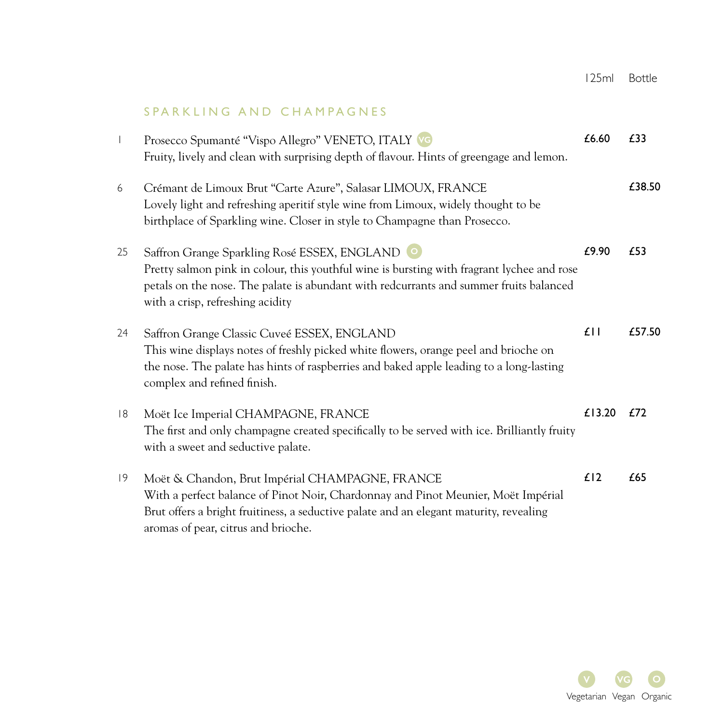# SPARKLING AND CHAMPAGNES

| $\overline{\phantom{a}}$ | Prosecco Spumanté "Vispo Allegro" VENETO, ITALY VG<br>Fruity, lively and clean with surprising depth of flavour. Hints of greengage and lemon.                                                                                                                           | £6.60  | £33    |
|--------------------------|--------------------------------------------------------------------------------------------------------------------------------------------------------------------------------------------------------------------------------------------------------------------------|--------|--------|
| 6                        | Crémant de Limoux Brut "Carte Azure", Salasar LIMOUX, FRANCE<br>Lovely light and refreshing aperitif style wine from Limoux, widely thought to be<br>birthplace of Sparkling wine. Closer in style to Champagne than Prosecco.                                           |        | £38.50 |
| 25                       | Saffron Grange Sparkling Rosé ESSEX, ENGLAND<br>Pretty salmon pink in colour, this youthful wine is bursting with fragrant lychee and rose<br>petals on the nose. The palate is abundant with redcurrants and summer fruits balanced<br>with a crisp, refreshing acidity | £9.90  | £53    |
| 24                       | Saffron Grange Classic Cuveé ESSEX, ENGLAND<br>This wine displays notes of freshly picked white flowers, orange peel and brioche on<br>the nose. The palate has hints of raspberries and baked apple leading to a long-lasting<br>complex and refined finish.            | $f$    | £57.50 |
| 8                        | Moët Ice Imperial CHAMPAGNE, FRANCE<br>The first and only champagne created specifically to be served with ice. Brilliantly fruity<br>with a sweet and seductive palate.                                                                                                 | £13.20 | £72    |
| 9                        | Moët & Chandon, Brut Impérial CHAMPAGNE, FRANCE<br>With a perfect balance of Pinot Noir, Chardonnay and Pinot Meunier, Moët Impérial<br>Brut offers a bright fruitiness, a seductive palate and an elegant maturity, revealing<br>aromas of pear, citrus and brioche.    | £12    | £65    |

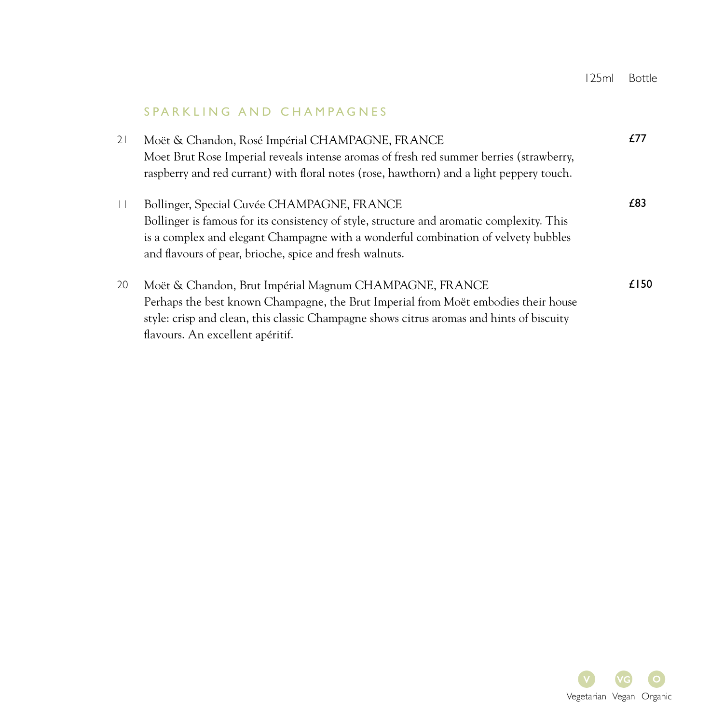### SPARKLING AND CHAMPAGNES

21 Moët & Chandon, Rosé Impérial CHAMPAGNE, FRANCE Moet Brut Rose Imperial reveals intense aromas of fresh red summer berries (strawberry, raspberry and red currant) with floral notes (rose, hawthorn) and a light peppery touch. £77 11 Bollinger, Special Cuvée CHAMPAGNE, FRANCE Bollinger is famous for its consistency of style, structure and aromatic complexity. This is a complex and elegant Champagne with a wonderful combination of velvety bubbles and flavours of pear, brioche, spice and fresh walnuts. £83 20 Moët & Chandon, Brut Impérial Magnum CHAMPAGNE, FRANCE Perhaps the best known Champagne, the Brut Imperial from Moët embodies their house style: crisp and clean, this classic Champagne shows citrus aromas and hints of biscuity flavours. An excellent apéritif. £150

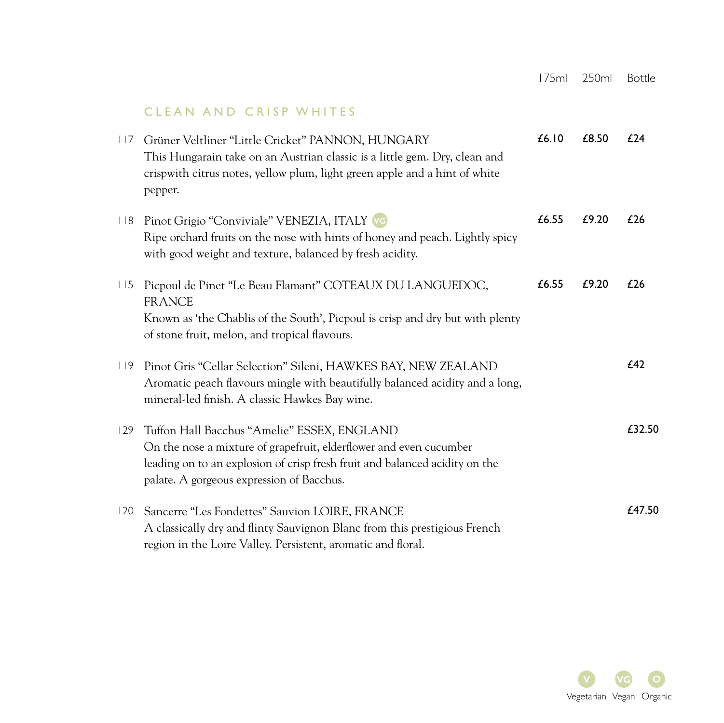## CLEAN AND CRISP WHITES

| 117 | Grüner Veltliner "Little Cricket" PANNON, HUNGARY<br>This Hungarain take on an Austrian classic is a little gem. Dry, clean and<br>crispwith citrus notes, yellow plum, light green apple and a hint of white<br>pepper.                      | £6.10 | £8.50 | £24    |
|-----|-----------------------------------------------------------------------------------------------------------------------------------------------------------------------------------------------------------------------------------------------|-------|-------|--------|
| 118 | Pinot Grigio "Conviviale" VENEZIA, ITALY VG<br>Ripe orchard fruits on the nose with hints of honey and peach. Lightly spicy<br>with good weight and texture, balanced by fresh acidity.                                                       | £6.55 | £9.20 | £26    |
| 115 | Picpoul de Pinet "Le Beau Flamant" COTEAUX DU LANGUEDOC,<br><b>FRANCE</b><br>Known as 'the Chablis of the South', Picpoul is crisp and dry but with plenty<br>of stone fruit, melon, and tropical flavours.                                   | £6.55 | £9.20 | £26    |
|     | 119 Pinot Gris "Cellar Selection" Sileni, HAWKES BAY, NEW ZEALAND<br>Aromatic peach flavours mingle with beautifully balanced acidity and a long,<br>mineral-led finish. A classic Hawkes Bay wine.                                           |       |       | £42    |
| 129 | Tuffon Hall Bacchus "Amelie" ESSEX, ENGLAND<br>On the nose a mixture of grapefruit, elderflower and even cucumber<br>leading on to an explosion of crisp fresh fruit and balanced acidity on the<br>palate. A gorgeous expression of Bacchus. |       |       | £32.50 |
| 120 | Sancerre "Les Fondettes" Sauvion LOIRE, FRANCE<br>A classically dry and flinty Sauvignon Blanc from this prestigious French<br>region in the Loire Valley. Persistent, aromatic and floral.                                                   |       |       | £47.50 |

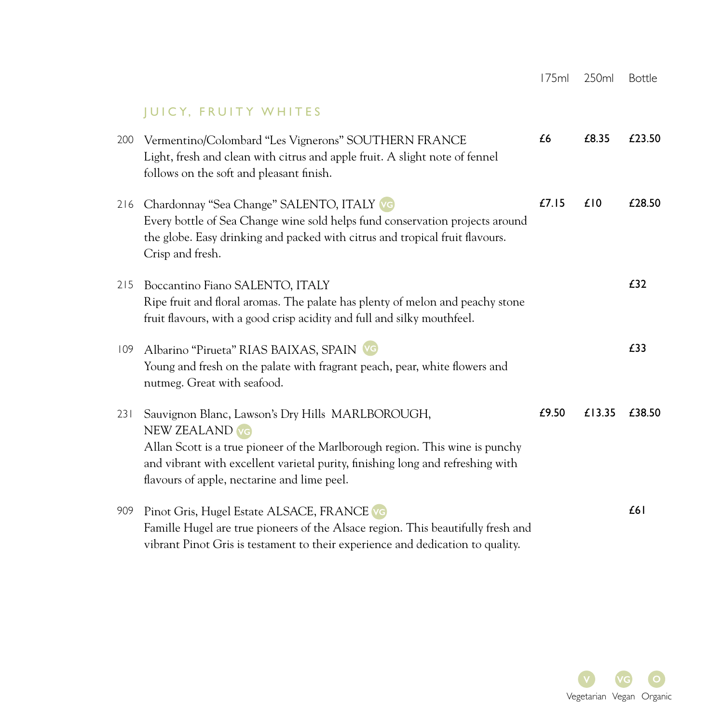# JUICY, FRUITY WHITES

| 200 | Vermentino/Colombard "Les Vignerons" SOUTHERN FRANCE<br>Light, fresh and clean with citrus and apple fruit. A slight note of fennel<br>follows on the soft and pleasant finish.                                                                                                     | £6    | £8.35  | £23.50 |
|-----|-------------------------------------------------------------------------------------------------------------------------------------------------------------------------------------------------------------------------------------------------------------------------------------|-------|--------|--------|
| 216 | Chardonnay "Sea Change" SALENTO, ITALY VG<br>Every bottle of Sea Change wine sold helps fund conservation projects around<br>the globe. Easy drinking and packed with citrus and tropical fruit flavours.<br>Crisp and fresh.                                                       | £7.15 | £10    | £28.50 |
| 215 | Boccantino Fiano SALENTO, ITALY<br>Ripe fruit and floral aromas. The palate has plenty of melon and peachy stone<br>fruit flavours, with a good crisp acidity and full and silky mouthfeel.                                                                                         |       |        | £32    |
| 109 | Albarino "Pirueta" RIAS BAIXAS, SPAIN VO<br>Young and fresh on the palate with fragrant peach, pear, white flowers and<br>nutmeg. Great with seafood.                                                                                                                               |       |        | £33    |
| 231 | Sauvignon Blanc, Lawson's Dry Hills MARLBOROUGH,<br>NEW ZEALAND VG<br>Allan Scott is a true pioneer of the Marlborough region. This wine is punchy<br>and vibrant with excellent varietal purity, finishing long and refreshing with<br>flavours of apple, nectarine and lime peel. | £9.50 | £13.35 | £38.50 |
| 909 | Pinot Gris, Hugel Estate ALSACE, FRANCE VG<br>Famille Hugel are true pioneers of the Alsace region. This beautifully fresh and<br>vibrant Pinot Gris is testament to their experience and dedication to quality.                                                                    |       |        | £61    |

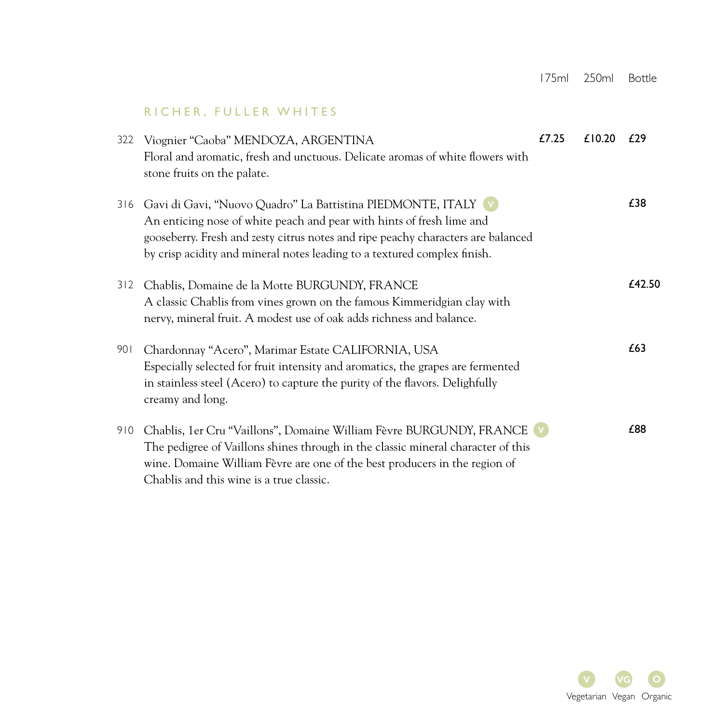### RICHER, FULLER WHITES

| 322 | Viognier "Caoba" MENDOZA, ARGENTINA                                                                                                                                                                                                                                                                      | £7.25 | £10.20 | f29    |
|-----|----------------------------------------------------------------------------------------------------------------------------------------------------------------------------------------------------------------------------------------------------------------------------------------------------------|-------|--------|--------|
|     | Floral and aromatic, fresh and unctuous. Delicate aromas of white flowers with                                                                                                                                                                                                                           |       |        |        |
|     | stone fruits on the palate.                                                                                                                                                                                                                                                                              |       |        |        |
| 316 | Gavi di Gavi, "Nuovo Quadro" La Battistina PIEDMONTE, ITALY (v)<br>An enticing nose of white peach and pear with hints of fresh lime and<br>gooseberry. Fresh and zesty citrus notes and ripe peachy characters are balanced<br>by crisp acidity and mineral notes leading to a textured complex finish. |       |        | £38    |
| 312 | Chablis, Domaine de la Motte BURGUNDY, FRANCE                                                                                                                                                                                                                                                            |       |        | £42.50 |
|     | A classic Chablis from vines grown on the famous Kimmeridgian clay with                                                                                                                                                                                                                                  |       |        |        |
|     | nervy, mineral fruit. A modest use of oak adds richness and balance.                                                                                                                                                                                                                                     |       |        |        |
|     |                                                                                                                                                                                                                                                                                                          |       |        |        |
| 901 | Chardonnay "Acero", Marimar Estate CALIFORNIA, USA                                                                                                                                                                                                                                                       |       |        | £63    |
|     | Especially selected for fruit intensity and aromatics, the grapes are fermented                                                                                                                                                                                                                          |       |        |        |
|     | in stainless steel (Acero) to capture the purity of the flavors. Delighfully<br>creamy and long.                                                                                                                                                                                                         |       |        |        |
| 910 | Chablis, 1er Cru "Vaillons", Domaine William Fèvre BURGUNDY, FRANCE                                                                                                                                                                                                                                      |       |        | £88    |
|     | The pedigree of Vaillons shines through in the classic mineral character of this                                                                                                                                                                                                                         |       |        |        |
|     | wine. Domaine William Fèvre are one of the best producers in the region of                                                                                                                                                                                                                               |       |        |        |
|     | Chablis and this wine is a true classic.                                                                                                                                                                                                                                                                 |       |        |        |
|     |                                                                                                                                                                                                                                                                                                          |       |        |        |

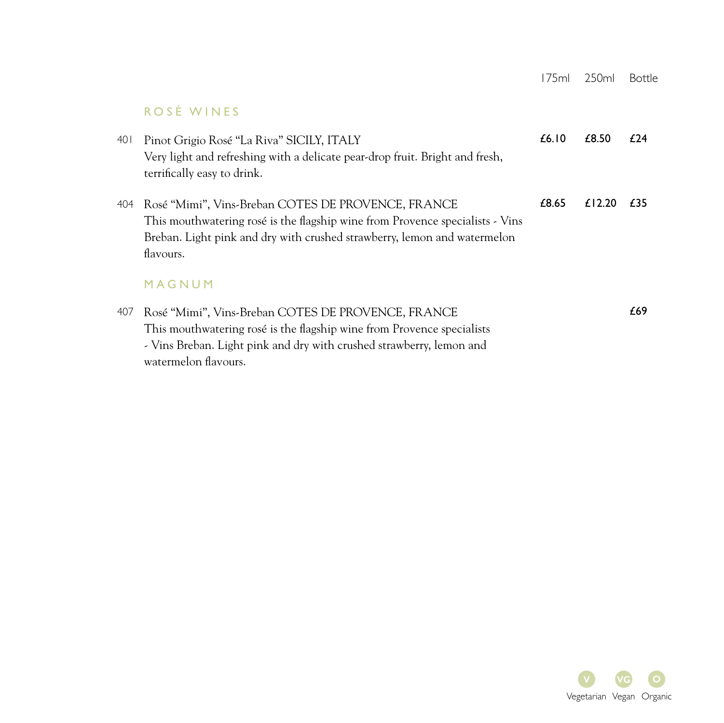# ROSÉ WINES

| 40 I | Pinot Grigio Rosé "La Riva" SICILY, ITALY<br>Very light and refreshing with a delicate pear-drop fruit. Bright and fresh,<br>terrifically easy to drink.                                                                     | £6.10 | £8.50  | £24 |
|------|------------------------------------------------------------------------------------------------------------------------------------------------------------------------------------------------------------------------------|-------|--------|-----|
| 404  | Rosé "Mimi", Vins-Breban COTES DE PROVENCE, FRANCE<br>This mouthwatering rosé is the flagship wine from Provence specialists - Vins<br>Breban. Light pink and dry with crushed strawberry, lemon and watermelon<br>flavours. | £8.65 | £12.20 | £35 |
|      | MAGNUM                                                                                                                                                                                                                       |       |        |     |
| 407  | Rosé "Mimi", Vins-Breban COTES DE PROVENCE, FRANCE<br>This mouthwatering rosé is the flagship wine from Provence specialists<br>- Vins Breban. Light pink and dry with crushed strawberry, lemon and<br>watermelon flavours. |       |        | £69 |

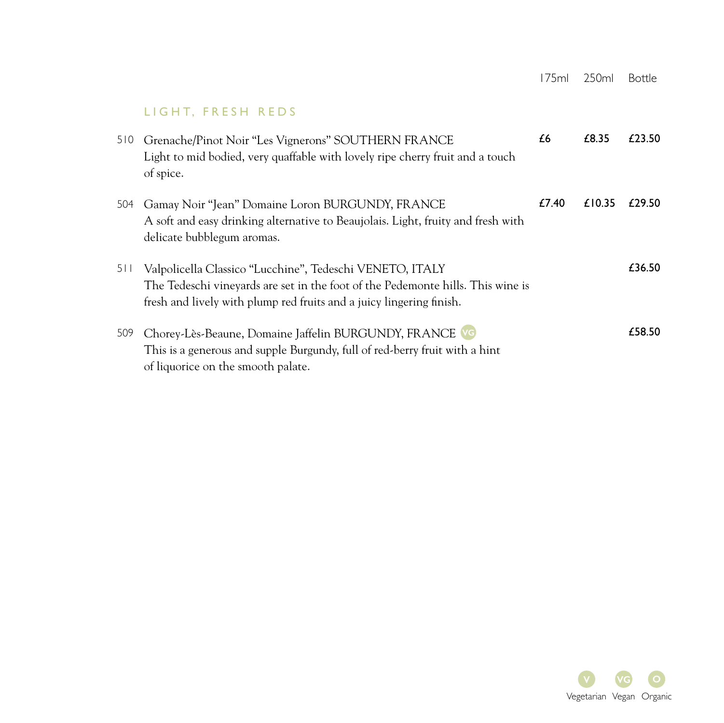# LIGHT, FRESH REDS

| 510 | Grenache/Pinot Noir "Les Vignerons" SOUTHERN FRANCE<br>Light to mid bodied, very quaffable with lovely ripe cherry fruit and a touch<br>of spice.                                                                   | £6    | £8.35  | £23.50 |
|-----|---------------------------------------------------------------------------------------------------------------------------------------------------------------------------------------------------------------------|-------|--------|--------|
| 504 | Gamay Noir "Jean" Domaine Loron BURGUNDY, FRANCE<br>A soft and easy drinking alternative to Beaujolais. Light, fruity and fresh with<br>delicate bubblegum aromas.                                                  | £7.40 | £10.35 | £29.50 |
| 511 | Valpolicella Classico "Lucchine", Tedeschi VENETO, ITALY<br>The Tedeschi vineyards are set in the foot of the Pedemonte hills. This wine is<br>fresh and lively with plump red fruits and a juicy lingering finish. |       |        | £36.50 |
| 509 | Chorey-Lès-Beaune, Domaine Jaffelin BURGUNDY, FRANCE VG<br>This is a generous and supple Burgundy, full of red-berry fruit with a hint<br>of liquorice on the smooth palate.                                        |       |        | £58.50 |

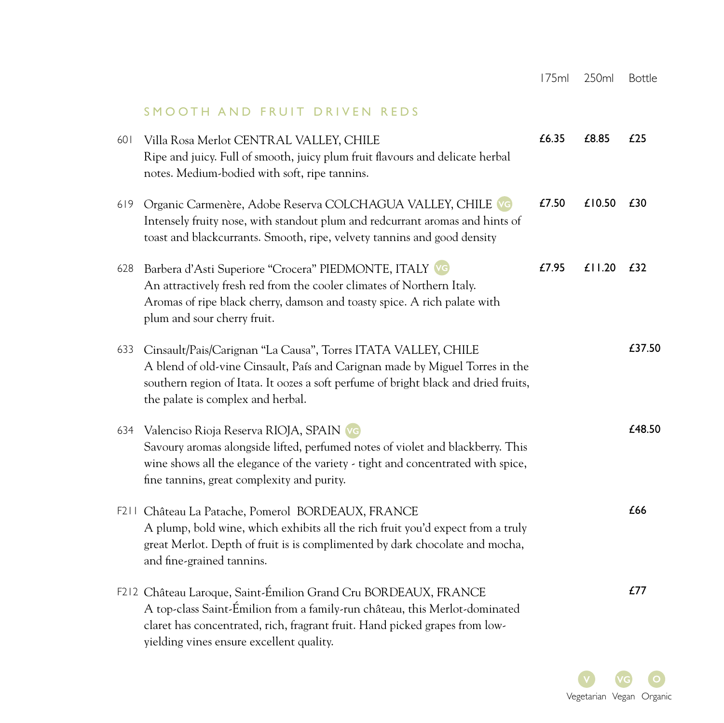## SMOOTH AND FRUIT DRIVEN REDS

| 601 | Villa Rosa Merlot CENTRAL VALLEY, CHILE<br>Ripe and juicy. Full of smooth, juicy plum fruit flavours and delicate herbal<br>notes. Medium-bodied with soft, ripe tannins.                                                                                                 | £6.35 | £8.85  | £25    |
|-----|---------------------------------------------------------------------------------------------------------------------------------------------------------------------------------------------------------------------------------------------------------------------------|-------|--------|--------|
| 619 | Organic Carmenère, Adobe Reserva COLCHAGUA VALLEY, CHILE VG<br>Intensely fruity nose, with standout plum and redcurrant aromas and hints of<br>toast and blackcurrants. Smooth, ripe, velvety tannins and good density                                                    | £7.50 | £10.50 | £30    |
| 628 | Barbera d'Asti Superiore "Crocera" PIEDMONTE, ITALY VG<br>An attractively fresh red from the cooler climates of Northern Italy.<br>Aromas of ripe black cherry, damson and toasty spice. A rich palate with<br>plum and sour cherry fruit.                                | £7.95 | £11.20 | £32    |
| 633 | Cinsault/Pais/Carignan "La Causa", Torres ITATA VALLEY, CHILE<br>A blend of old-vine Cinsault, País and Carignan made by Miguel Torres in the<br>southern region of Itata. It oozes a soft perfume of bright black and dried fruits,<br>the palate is complex and herbal. |       |        | £37.50 |
| 634 | Valenciso Rioja Reserva RIOJA, SPAIN VG<br>Savoury aromas alongside lifted, perfumed notes of violet and blackberry. This<br>wine shows all the elegance of the variety - tight and concentrated with spice,<br>fine tannins, great complexity and purity.                |       |        | £48.50 |
|     | F211 Château La Patache, Pomerol BORDEAUX, FRANCE<br>A plump, bold wine, which exhibits all the rich fruit you'd expect from a truly<br>great Merlot. Depth of fruit is is complimented by dark chocolate and mocha,<br>and fine-grained tannins.                         |       |        | £66    |
|     | F212 Château Laroque, Saint-Émilion Grand Cru BORDEAUX, FRANCE<br>A top-class Saint-Émilion from a family-run château, this Merlot-dominated<br>claret has concentrated, rich, fragrant fruit. Hand picked grapes from low-<br>yielding vines ensure excellent quality.   |       |        | £77    |

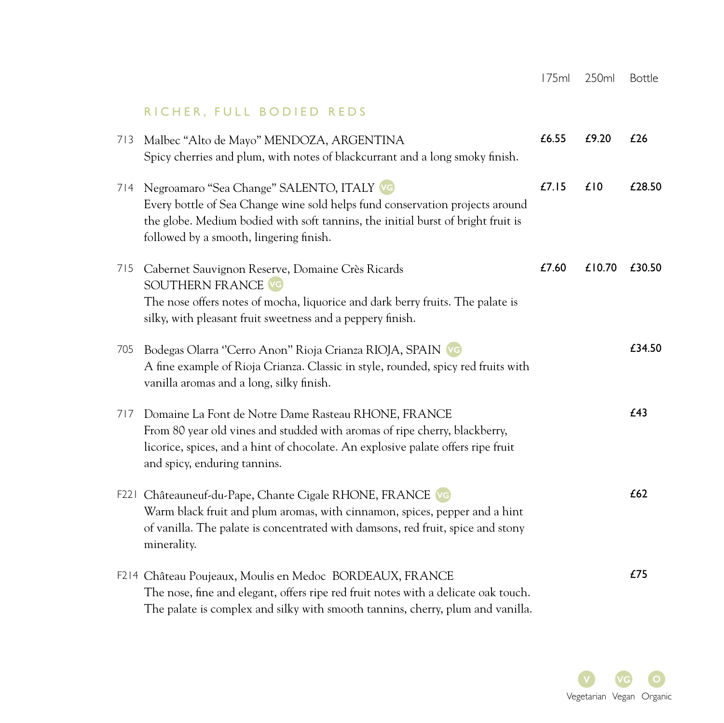## RICHER, FULL BODIED REDS

|     | 713 Malbec "Alto de Mayo" MENDOZA, ARGENTINA<br>Spicy cherries and plum, with notes of blackcurrant and a long smoky finish.                                                                                                                             | £6.55 | £9.20  | £26    |
|-----|----------------------------------------------------------------------------------------------------------------------------------------------------------------------------------------------------------------------------------------------------------|-------|--------|--------|
| 714 | Negroamaro "Sea Change" SALENTO, ITALY VG<br>Every bottle of Sea Change wine sold helps fund conservation projects around<br>the globe. Medium bodied with soft tannins, the initial burst of bright fruit is<br>followed by a smooth, lingering finish. | £7.15 | £10    | £28.50 |
| 715 | Cabernet Sauvignon Reserve, Domaine Crès Ricards<br><b>SOUTHERN FRANCE VG</b><br>The nose offers notes of mocha, liquorice and dark berry fruits. The palate is<br>silky, with pleasant fruit sweetness and a peppery finish.                            | £7.60 | £10.70 | £30.50 |
| 705 | Bodegas Olarra "Cerro Anon" Rioja Crianza RIOJA, SPAIN VG<br>A fine example of Rioja Crianza. Classic in style, rounded, spicy red fruits with<br>vanilla aromas and a long, silky finish.                                                               |       |        | £34.50 |
| 717 | Domaine La Font de Notre Dame Rasteau RHONE, FRANCE<br>From 80 year old vines and studded with aromas of ripe cherry, blackberry,<br>licorice, spices, and a hint of chocolate. An explosive palate offers ripe fruit<br>and spicy, enduring tannins.    |       |        | £43    |
|     | F221 Châteauneuf-du-Pape, Chante Cigale RHONE, FRANCE VG<br>Warm black fruit and plum aromas, with cinnamon, spices, pepper and a hint<br>of vanilla. The palate is concentrated with damsons, red fruit, spice and stony<br>minerality.                 |       |        | £62    |
|     | F214 Château Poujeaux, Moulis en Medoc BORDEAUX, FRANCE<br>The nose, fine and elegant, offers ripe red fruit notes with a delicate oak touch.<br>The palate is complex and silky with smooth tannins, cherry, plum and vanilla.                          |       |        | £75    |